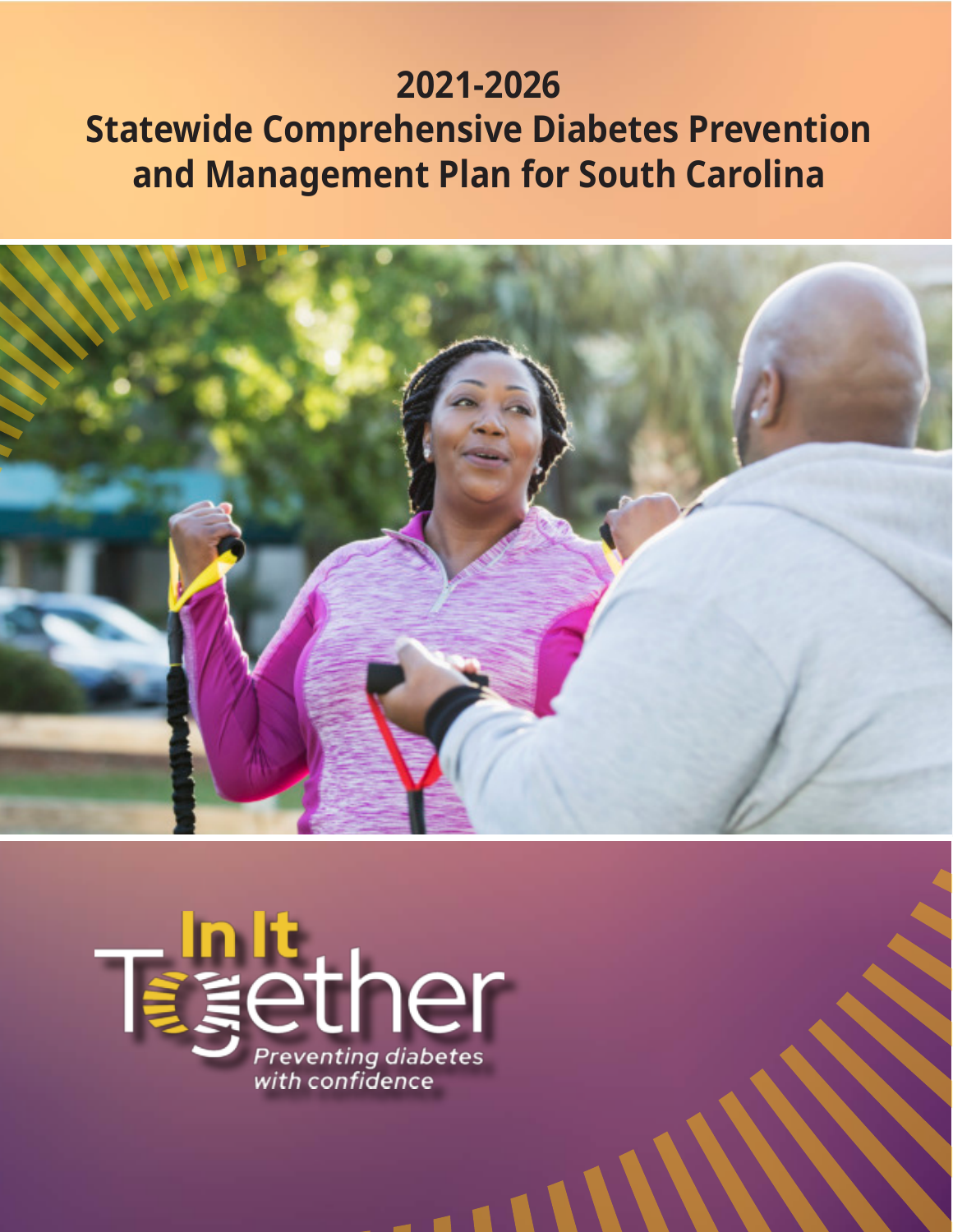# **2021-2026 Statewide Comprehensive Diabetes Prevention and Management Plan for South Carolina**



 $\blacksquare$ 

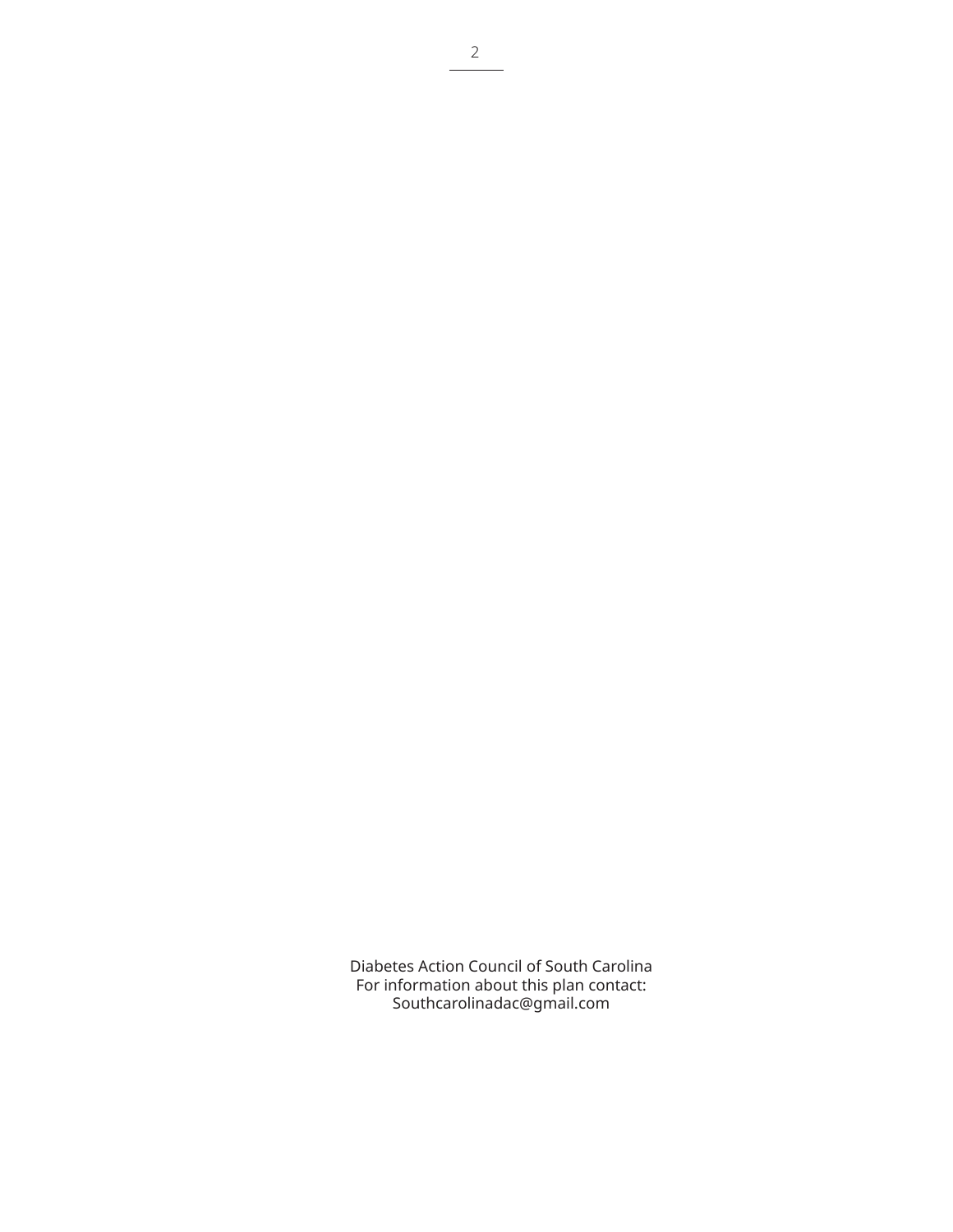Diabetes Action Council of South Carolina For information about this plan contact: [Southcarolinadac@gmail.com](mailto:Southcarolinadac@gmail.com)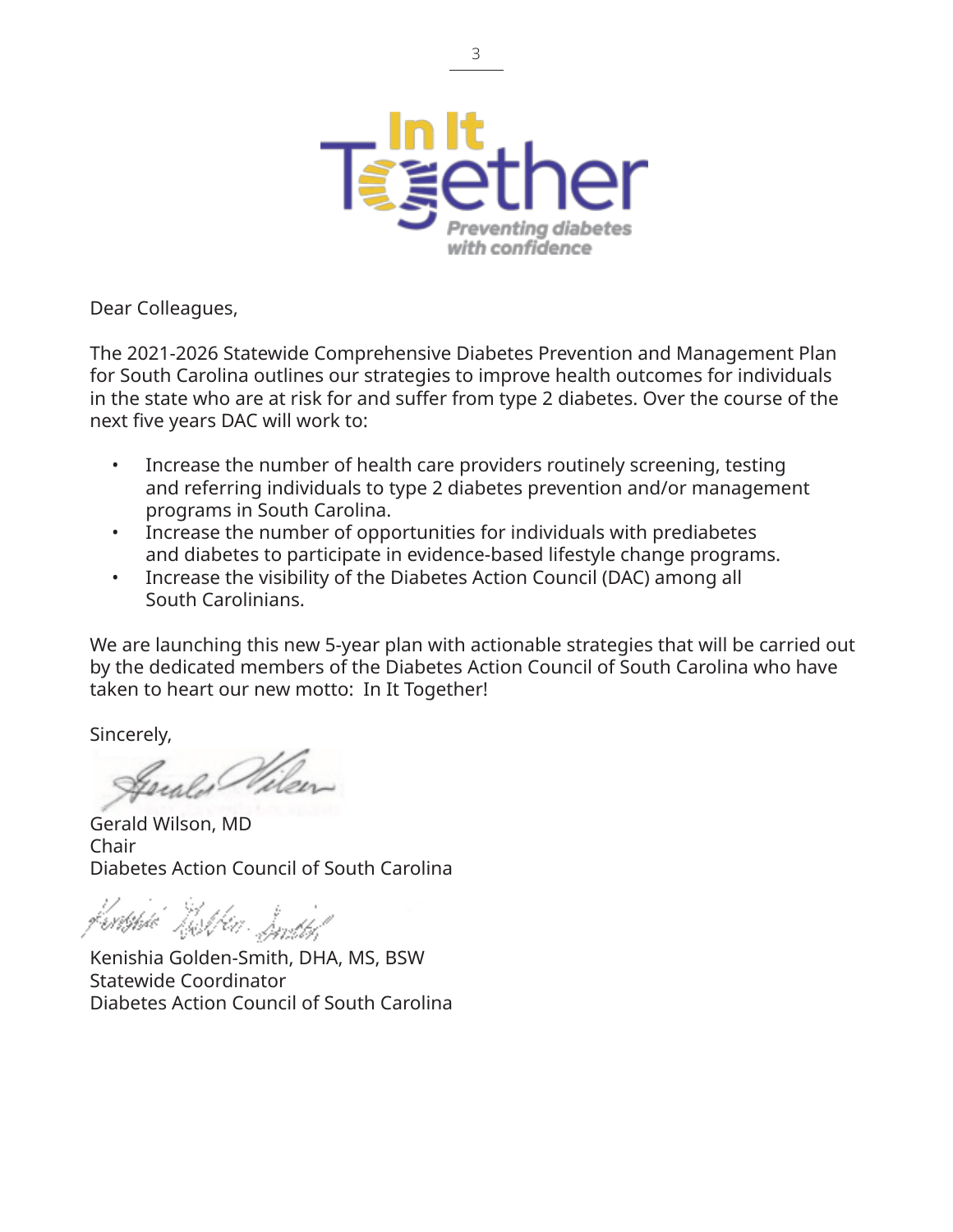

Dear Colleagues,

The 2021-2026 Statewide Comprehensive Diabetes Prevention and Management Plan for South Carolina outlines our strategies to improve health outcomes for individuals in the state who are at risk for and suffer from type 2 diabetes. Over the course of the next five years DAC will work to:

- Increase the number of health care providers routinely screening, testing and referring individuals to type 2 diabetes prevention and/or management programs in South Carolina.
- Increase the number of opportunities for individuals with prediabetes and diabetes to participate in evidence-based lifestyle change programs.
- Increase the visibility of the Diabetes Action Council (DAC) among all South Carolinians.

We are launching this new 5-year plan with actionable strategies that will be carried out by the dedicated members of the Diabetes Action Council of South Carolina who have taken to heart our new motto: In It Together!

Sincerely,

Gerald Wilson, MD Chair Diabetes Action Council of South Carolina

<sup>l</sup>eritshik Text for Smith!

Kenishia Golden-Smith, DHA, MS, BSW Statewide Coordinator Diabetes Action Council of South Carolina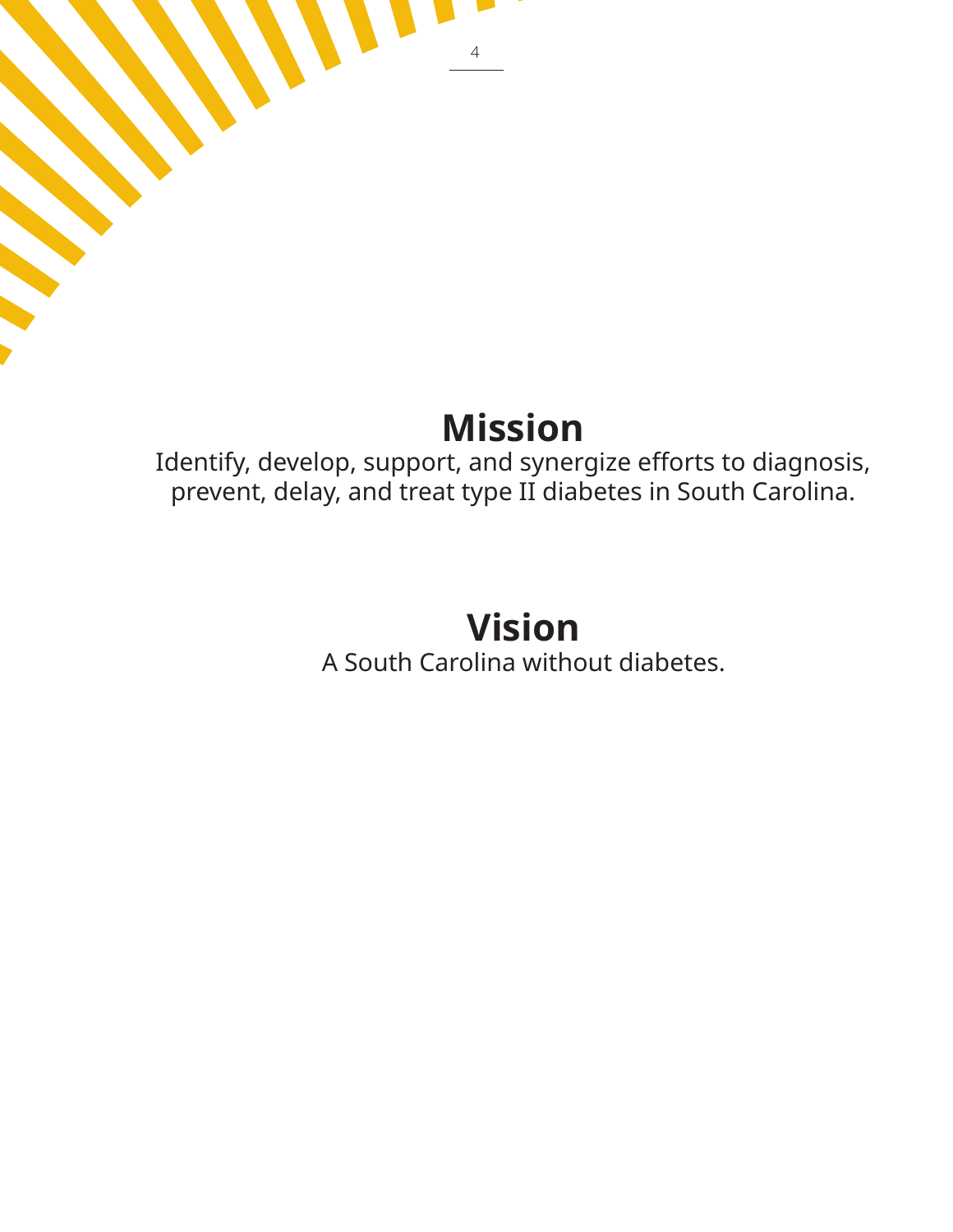# **Mission**

4

Identify, develop, support, and synergize efforts to diagnosis, prevent, delay, and treat type II diabetes in South Carolina.

# **Vision**

A South Carolina without diabetes.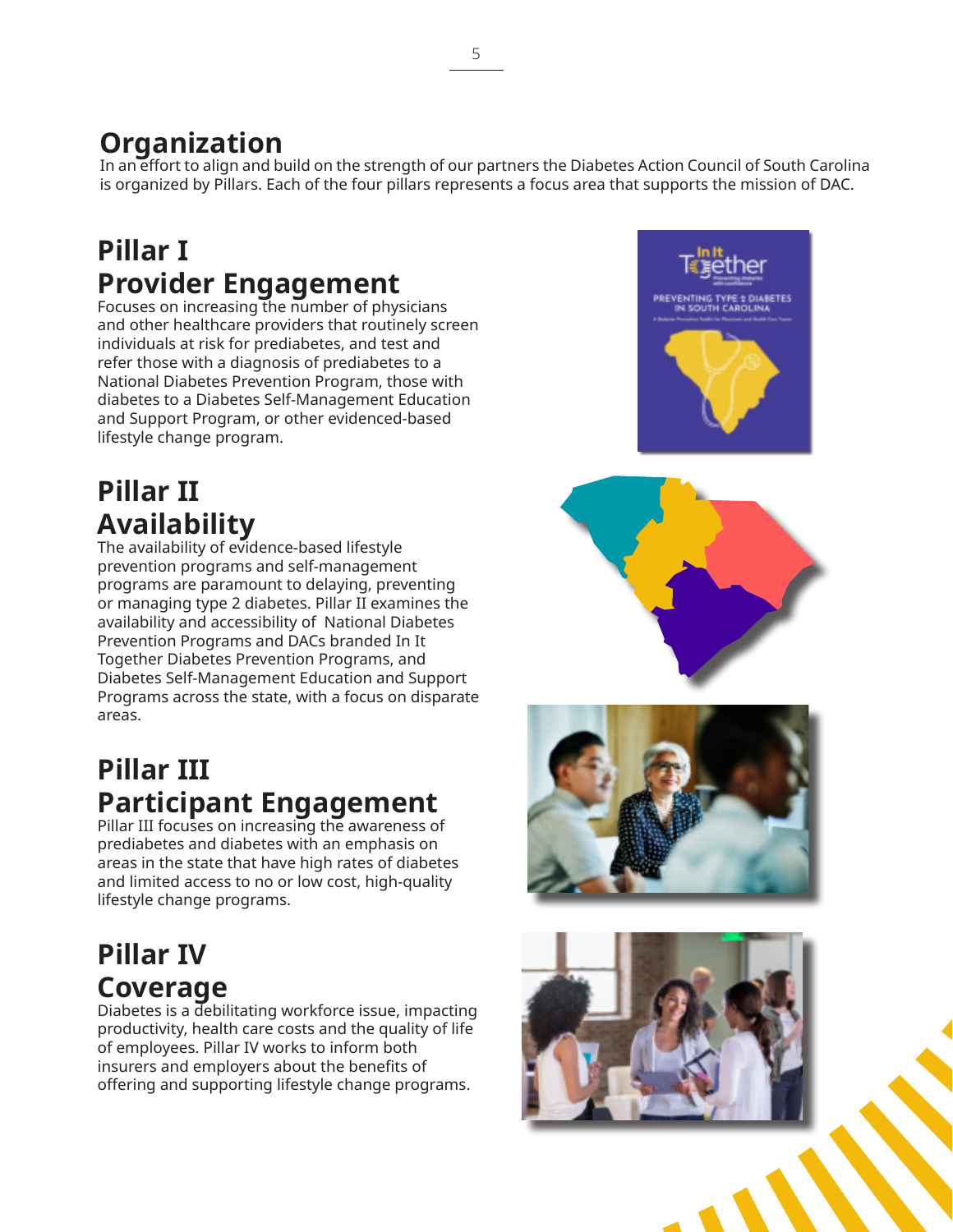### **Organization**

In an effort to align and build on the strength of our partners the Diabetes Action Council of South Carolina is organized by Pillars. Each of the four pillars represents a focus area that supports the mission of DAC.

### **Pillar I Provider Engagement**

Focuses on increasing the number of physicians and other healthcare providers that routinely screen individuals at risk for prediabetes, and test and refer those with a diagnosis of prediabetes to a National Diabetes Prevention Program, those with diabetes to a Diabetes Self-Management Education and Support Program, or other evidenced-based lifestyle change program.

### **Pillar II Availability**

The availability of evidence-based lifestyle prevention programs and self-management programs are paramount to delaying, preventing or managing type 2 diabetes. Pillar II examines the availability and accessibility of National Diabetes Prevention Programs and DACs branded In It Together Diabetes Prevention Programs, and Diabetes Self-Management Education and Support Programs across the state, with a focus on disparate areas.

### **Pillar III Participant Engagement**

Pillar III focuses on increasing the awareness of prediabetes and diabetes with an emphasis on areas in the state that have high rates of diabetes and limited access to no or low cost, high-quality lifestyle change programs.

### **Pillar IV Coverage**

Diabetes is a debilitating workforce issue, impacting productivity, health care costs and the quality of life of employees. Pillar IV works to inform both insurers and employers about the benefits of offering and supporting lifestyle change programs.







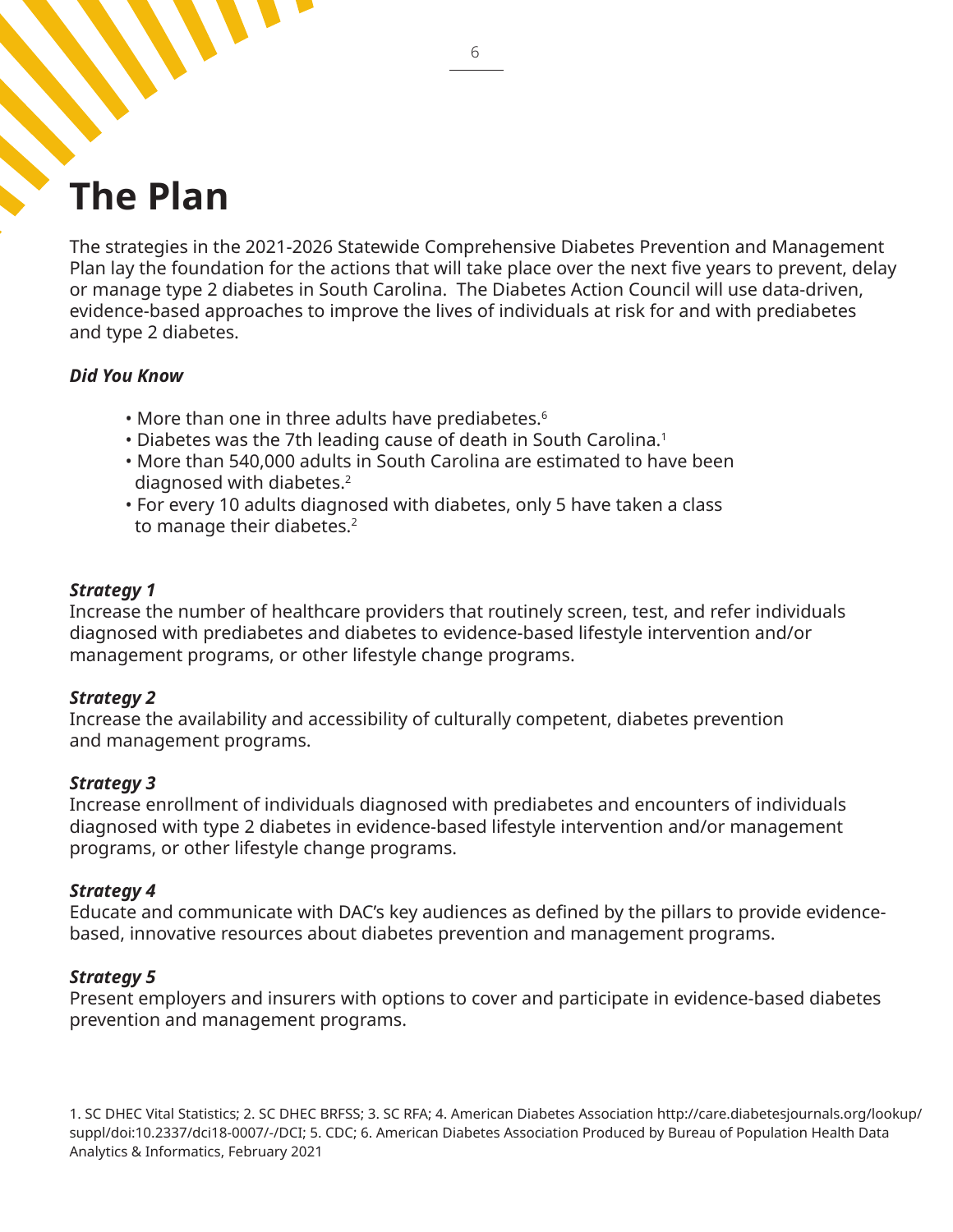# **The Plan**

The strategies in the 2021-2026 Statewide Comprehensive Diabetes Prevention and Management Plan lay the foundation for the actions that will take place over the next five years to prevent, delay or manage type 2 diabetes in South Carolina. The Diabetes Action Council will use data-driven, evidence-based approaches to improve the lives of individuals at risk for and with prediabetes and type 2 diabetes.

#### *Did You Know*

- More than one in three adults have prediabetes.<sup>6</sup>
- Diabetes was the 7th leading cause of death in South Carolina.<sup>1</sup>
- More than 540,000 adults in South Carolina are estimated to have been diagnosed with diabetes.<sup>2</sup>
- For every 10 adults diagnosed with diabetes, only 5 have taken a class to manage their diabetes.<sup>2</sup>

#### *Strategy 1*

Increase the number of healthcare providers that routinely screen, test, and refer individuals diagnosed with prediabetes and diabetes to evidence-based lifestyle intervention and/or management programs, or other lifestyle change programs.

#### *Strategy 2*

Increase the availability and accessibility of culturally competent, diabetes prevention and management programs.

#### *Strategy 3*

Increase enrollment of individuals diagnosed with prediabetes and encounters of individuals diagnosed with type 2 diabetes in evidence-based lifestyle intervention and/or management programs, or other lifestyle change programs.

#### *Strategy 4*

Educate and communicate with DAC's key audiences as defined by the pillars to provide evidencebased, innovative resources about diabetes prevention and management programs.

#### *Strategy 5*

Present employers and insurers with options to cover and participate in evidence-based diabetes prevention and management programs.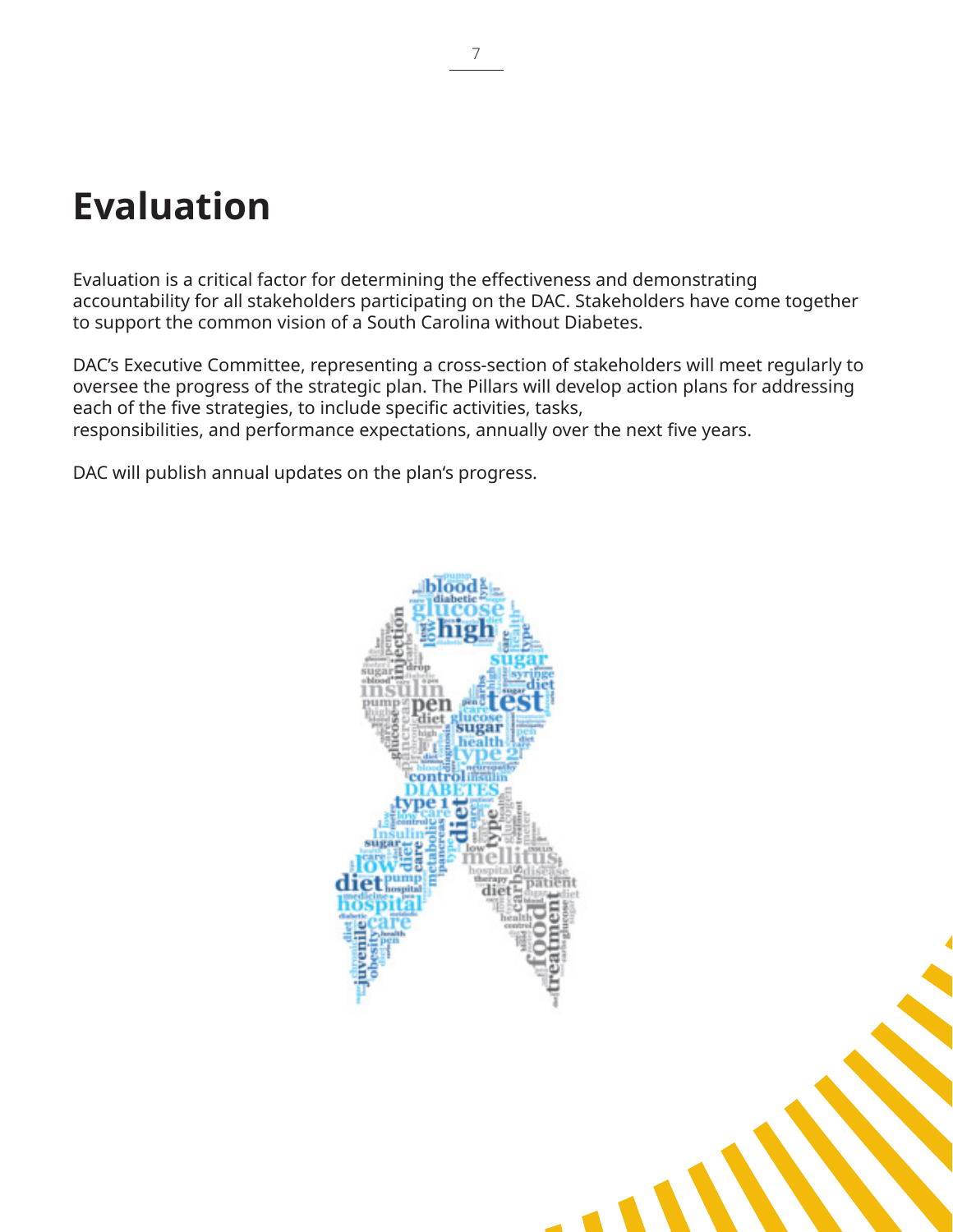# **Evaluation**

Evaluation is a critical factor for determining the effectiveness and demonstrating accountability for all stakeholders participating on the DAC. Stakeholders have come together to support the common vision of a South Carolina without Diabetes.

DAC's Executive Committee, representing a cross-section of stakeholders will meet regularly to oversee the progress of the strategic plan. The Pillars will develop action plans for addressing each of the five strategies, to include specific activities, tasks, responsibilities, and performance expectations, annually over the next five years.

DAC will publish annual updates on the plan's progress.

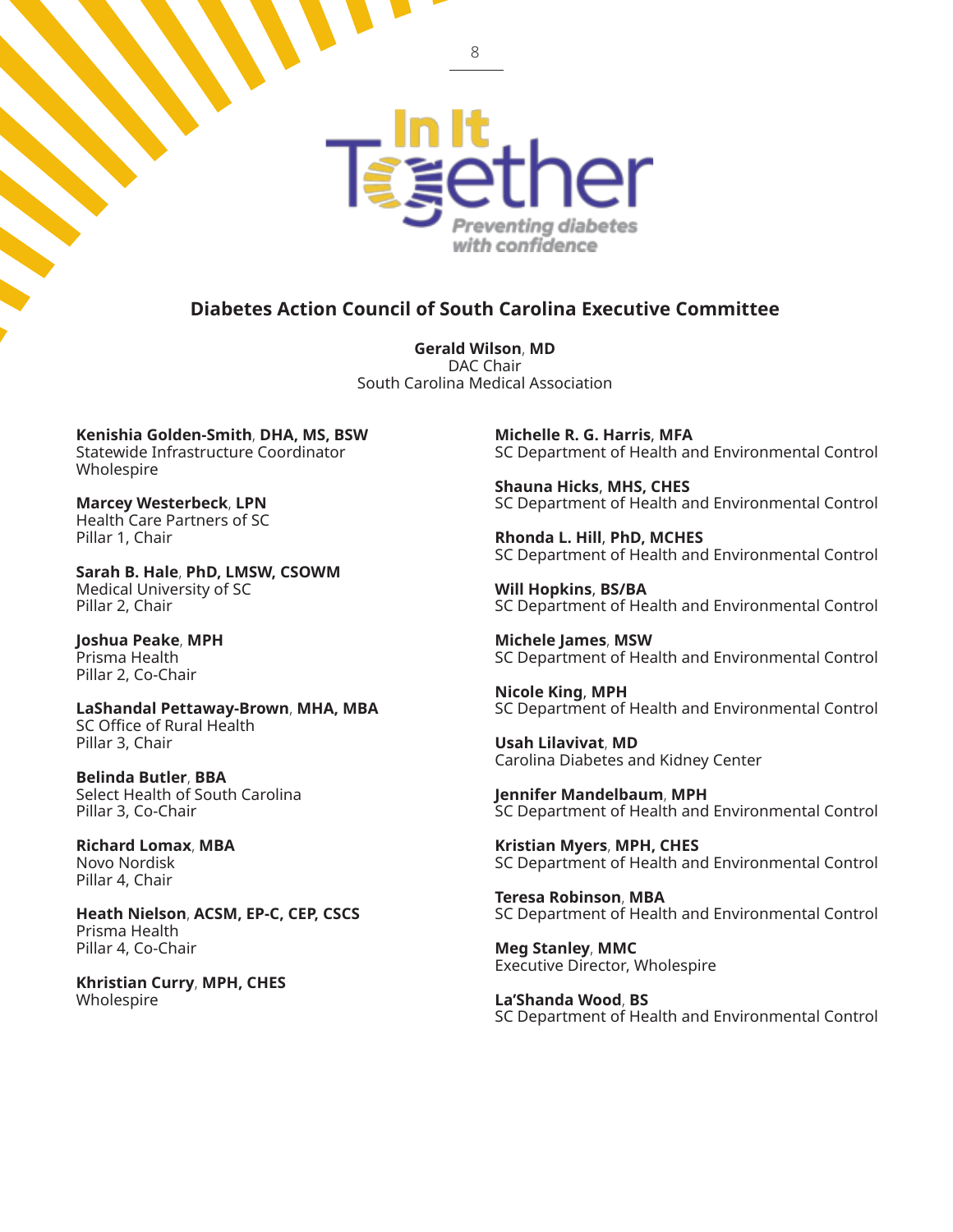

#### **Diabetes Action Council of South Carolina Executive Committee**

**Gerald Wilson**, **MD** DAC Chair South Carolina Medical Association

**Kenishia Golden-Smith**, **DHA, MS, BSW** Statewide Infrastructure Coordinator Wholespire

**Marcey Westerbeck**, **LPN** Health Care Partners of SC Pillar 1, Chair

**Sarah B. Hale**, **PhD, LMSW, CSOWM** Medical University of SC Pillar 2, Chair

**Joshua Peake**, **MPH** Prisma Health Pillar 2, Co-Chair

**LaShandal Pettaway-Brown**, **MHA, MBA** SC Office of Rural Health Pillar 3, Chair

**Belinda Butler**, **BBA** Select Health of South Carolina Pillar 3, Co-Chair

**Richard Lomax**, **MBA** Novo Nordisk Pillar 4, Chair

**Heath Nielson**, **ACSM, EP-C, CEP, CSCS** Prisma Health Pillar 4, Co-Chair

**Khristian Curry**, **MPH, CHES** Wholespire

**Michelle R. G. Harris**, **MFA** SC Department of Health and Environmental Control

**Shauna Hicks**, **MHS, CHES** SC Department of Health and Environmental Control

**Rhonda L. Hill**, **PhD, MCHES** SC Department of Health and Environmental Control

**Will Hopkins**, **BS/BA** SC Department of Health and Environmental Control

**Michele James**, **MSW** SC Department of Health and Environmental Control

**Nicole King**, **MPH** SC Department of Health and Environmental Control

**Usah Lilavivat**, **MD** Carolina Diabetes and Kidney Center

**Jennifer Mandelbaum**, **MPH** SC Department of Health and Environmental Control

**Kristian Myers**, **MPH, CHES** SC Department of Health and Environmental Control

**Teresa Robinson**, **MBA** SC Department of Health and Environmental Control

**Meg Stanley**, **MMC** Executive Director, Wholespire

**La'Shanda Wood**, **BS**  SC Department of Health and Environmental Control

8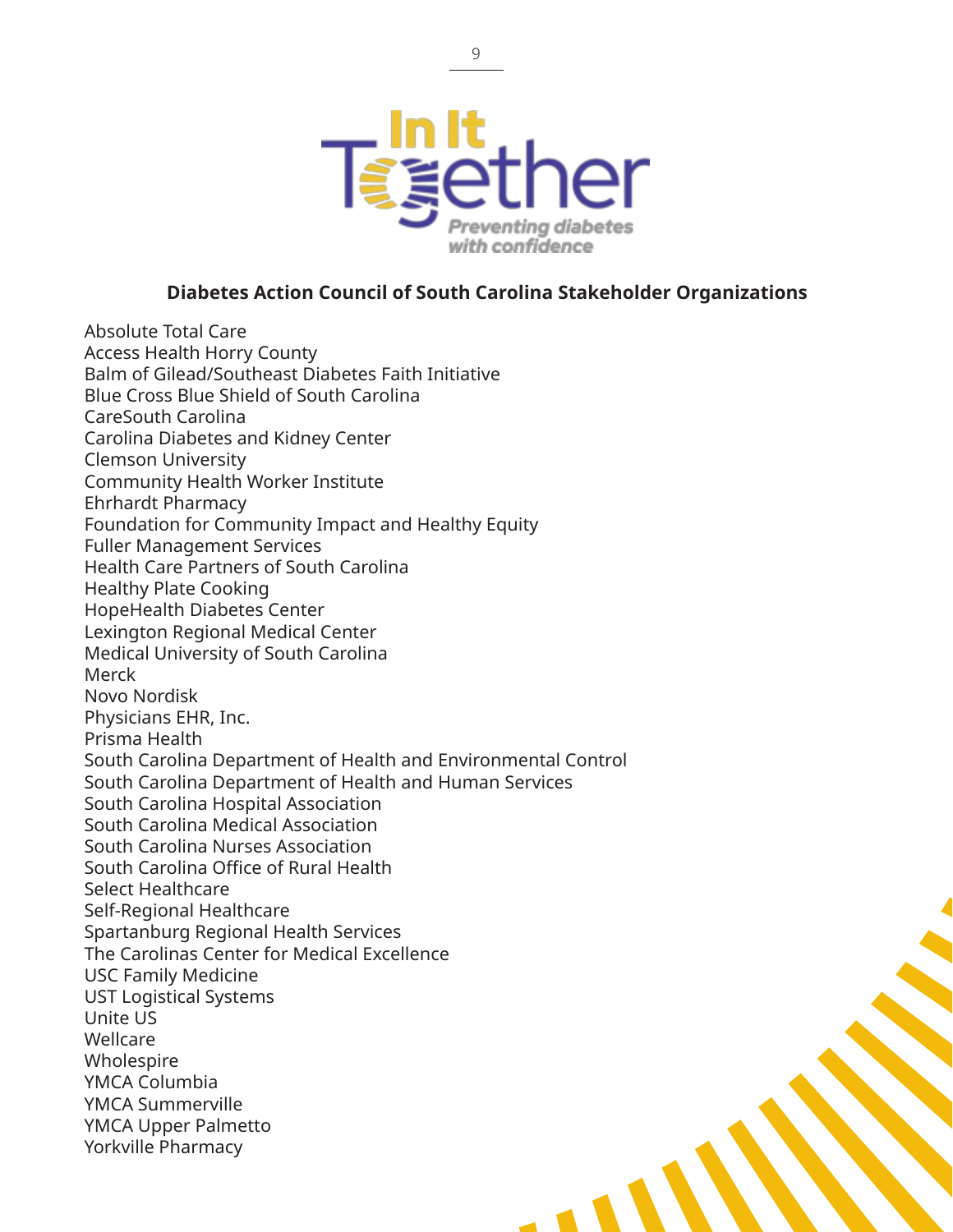

#### **Diabetes Action Council of South Carolina Stakeholder Organizations**

Absolute Total Care Access Health Horry County Balm of Gilead/Southeast Diabetes Faith Initiative Blue Cross Blue Shield of South Carolina CareSouth Carolina Carolina Diabetes and Kidney Center Clemson University Community Health Worker Institute Ehrhardt Pharmacy Foundation for Community Impact and Healthy Equity Fuller Management Services Health Care Partners of South Carolina Healthy Plate Cooking HopeHealth Diabetes Center Lexington Regional Medical Center Medical University of South Carolina Merck Novo Nordisk Physicians EHR, Inc. Prisma Health South Carolina Department of Health and Environmental Control South Carolina Department of Health and Human Services South Carolina Hospital Association South Carolina Medical Association South Carolina Nurses Association South Carolina Office of Rural Health Select Healthcare Self-Regional Healthcare Spartanburg Regional Health Services The Carolinas Center for Medical Excellence USC Family Medicine UST Logistical Systems Unite US Wellcare Wholespire YMCA Columbia YMCA Summerville YMCA Upper Palmetto Yorkville Pharmacy